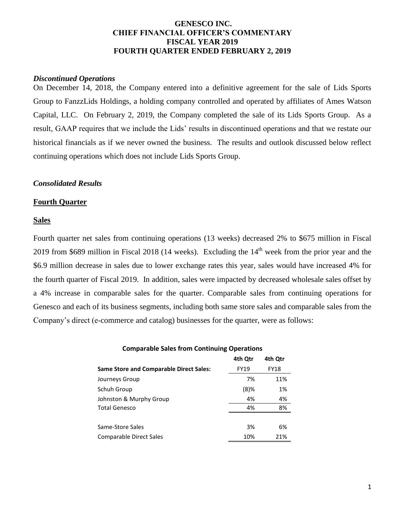# **GENESCO INC. CHIEF FINANCIAL OFFICER'S COMMENTARY FISCAL YEAR 2019 FOURTH QUARTER ENDED FEBRUARY 2, 2019**

## *Discontinued Operations*

On December 14, 2018, the Company entered into a definitive agreement for the sale of Lids Sports Group to FanzzLids Holdings, a holding company controlled and operated by affiliates of Ames Watson Capital, LLC. On February 2, 2019, the Company completed the sale of its Lids Sports Group. As a result, GAAP requires that we include the Lids' results in discontinued operations and that we restate our historical financials as if we never owned the business. The results and outlook discussed below reflect continuing operations which does not include Lids Sports Group.

# *Consolidated Results*

## **Fourth Quarter**

## **Sales**

Fourth quarter net sales from continuing operations (13 weeks) decreased 2% to \$675 million in Fiscal 2019 from \$689 million in Fiscal 2018 (14 weeks). Excluding the  $14<sup>th</sup>$  week from the prior year and the \$6.9 million decrease in sales due to lower exchange rates this year, sales would have increased 4% for the fourth quarter of Fiscal 2019. In addition, sales were impacted by decreased wholesale sales offset by a 4% increase in comparable sales for the quarter. Comparable sales from continuing operations for Genesco and each of its business segments, including both same store sales and comparable sales from the Company's direct (e-commerce and catalog) businesses for the quarter, were as follows:

#### **Comparable Sales from Continuing Operations**

|                                                | 4th Qtr     | 4th Qtr     |
|------------------------------------------------|-------------|-------------|
| <b>Same Store and Comparable Direct Sales:</b> | <b>FY19</b> | <b>FY18</b> |
| Journeys Group                                 | 7%          | 11%         |
| Schuh Group                                    | $(8)$ %     | 1%          |
| Johnston & Murphy Group                        | 4%          | 4%          |
| Total Genesco                                  | 4%          | 8%          |
|                                                |             |             |
| Same-Store Sales                               | 3%          | 6%          |
| Comparable Direct Sales                        | 10%         | 21%         |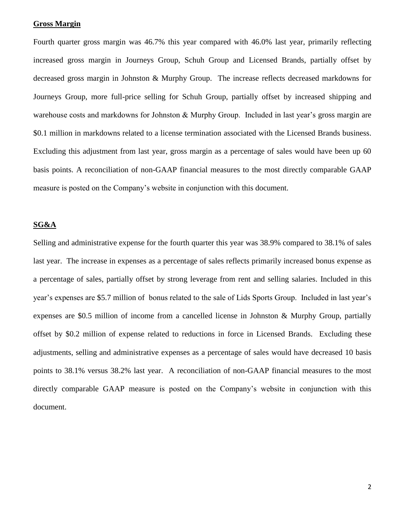## **Gross Margin**

Fourth quarter gross margin was 46.7% this year compared with 46.0% last year, primarily reflecting increased gross margin in Journeys Group, Schuh Group and Licensed Brands, partially offset by decreased gross margin in Johnston & Murphy Group. The increase reflects decreased markdowns for Journeys Group, more full-price selling for Schuh Group, partially offset by increased shipping and warehouse costs and markdowns for Johnston & Murphy Group. Included in last year's gross margin are \$0.1 million in markdowns related to a license termination associated with the Licensed Brands business. Excluding this adjustment from last year, gross margin as a percentage of sales would have been up 60 basis points. A reconciliation of non-GAAP financial measures to the most directly comparable GAAP measure is posted on the Company's website in conjunction with this document.

#### **SG&A**

Selling and administrative expense for the fourth quarter this year was 38.9% compared to 38.1% of sales last year. The increase in expenses as a percentage of sales reflects primarily increased bonus expense as a percentage of sales, partially offset by strong leverage from rent and selling salaries. Included in this year's expenses are \$5.7 million of bonus related to the sale of Lids Sports Group. Included in last year's expenses are \$0.5 million of income from a cancelled license in Johnston & Murphy Group, partially offset by \$0.2 million of expense related to reductions in force in Licensed Brands. Excluding these adjustments, selling and administrative expenses as a percentage of sales would have decreased 10 basis points to 38.1% versus 38.2% last year. A reconciliation of non-GAAP financial measures to the most directly comparable GAAP measure is posted on the Company's website in conjunction with this document.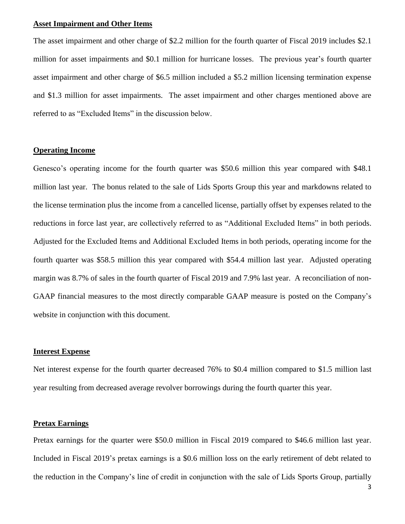# **Asset Impairment and Other Items**

The asset impairment and other charge of \$2.2 million for the fourth quarter of Fiscal 2019 includes \$2.1 million for asset impairments and \$0.1 million for hurricane losses. The previous year's fourth quarter asset impairment and other charge of \$6.5 million included a \$5.2 million licensing termination expense and \$1.3 million for asset impairments. The asset impairment and other charges mentioned above are referred to as "Excluded Items" in the discussion below.

## **Operating Income**

Genesco's operating income for the fourth quarter was \$50.6 million this year compared with \$48.1 million last year. The bonus related to the sale of Lids Sports Group this year and markdowns related to the license termination plus the income from a cancelled license, partially offset by expenses related to the reductions in force last year, are collectively referred to as "Additional Excluded Items" in both periods. Adjusted for the Excluded Items and Additional Excluded Items in both periods, operating income for the fourth quarter was \$58.5 million this year compared with \$54.4 million last year. Adjusted operating margin was 8.7% of sales in the fourth quarter of Fiscal 2019 and 7.9% last year. A reconciliation of non-GAAP financial measures to the most directly comparable GAAP measure is posted on the Company's website in conjunction with this document.

#### **Interest Expense**

Net interest expense for the fourth quarter decreased 76% to \$0.4 million compared to \$1.5 million last year resulting from decreased average revolver borrowings during the fourth quarter this year.

# **Pretax Earnings**

Pretax earnings for the quarter were \$50.0 million in Fiscal 2019 compared to \$46.6 million last year. Included in Fiscal 2019's pretax earnings is a \$0.6 million loss on the early retirement of debt related to the reduction in the Company's line of credit in conjunction with the sale of Lids Sports Group, partially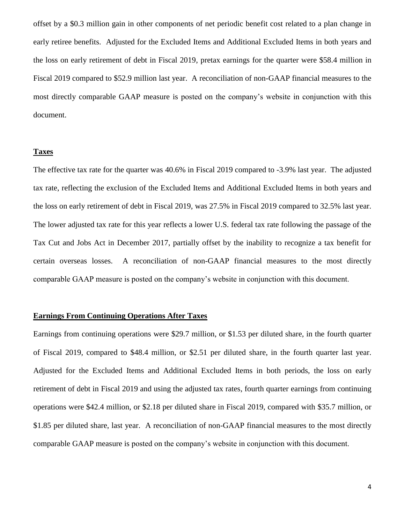offset by a \$0.3 million gain in other components of net periodic benefit cost related to a plan change in early retiree benefits. Adjusted for the Excluded Items and Additional Excluded Items in both years and the loss on early retirement of debt in Fiscal 2019, pretax earnings for the quarter were \$58.4 million in Fiscal 2019 compared to \$52.9 million last year. A reconciliation of non-GAAP financial measures to the most directly comparable GAAP measure is posted on the company's website in conjunction with this document.

#### **Taxes**

The effective tax rate for the quarter was 40.6% in Fiscal 2019 compared to -3.9% last year. The adjusted tax rate, reflecting the exclusion of the Excluded Items and Additional Excluded Items in both years and the loss on early retirement of debt in Fiscal 2019, was 27.5% in Fiscal 2019 compared to 32.5% last year. The lower adjusted tax rate for this year reflects a lower U.S. federal tax rate following the passage of the Tax Cut and Jobs Act in December 2017, partially offset by the inability to recognize a tax benefit for certain overseas losses. A reconciliation of non-GAAP financial measures to the most directly comparable GAAP measure is posted on the company's website in conjunction with this document.

# **Earnings From Continuing Operations After Taxes**

Earnings from continuing operations were \$29.7 million, or \$1.53 per diluted share, in the fourth quarter of Fiscal 2019, compared to \$48.4 million, or \$2.51 per diluted share, in the fourth quarter last year. Adjusted for the Excluded Items and Additional Excluded Items in both periods, the loss on early retirement of debt in Fiscal 2019 and using the adjusted tax rates, fourth quarter earnings from continuing operations were \$42.4 million, or \$2.18 per diluted share in Fiscal 2019, compared with \$35.7 million, or \$1.85 per diluted share, last year. A reconciliation of non-GAAP financial measures to the most directly comparable GAAP measure is posted on the company's website in conjunction with this document.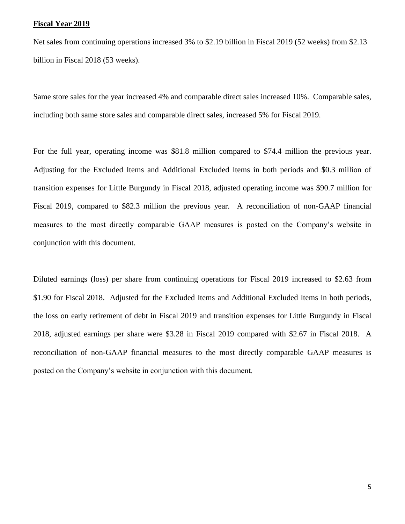## **Fiscal Year 2019**

Net sales from continuing operations increased 3% to \$2.19 billion in Fiscal 2019 (52 weeks) from \$2.13 billion in Fiscal 2018 (53 weeks).

Same store sales for the year increased 4% and comparable direct sales increased 10%. Comparable sales, including both same store sales and comparable direct sales, increased 5% for Fiscal 2019.

For the full year, operating income was \$81.8 million compared to \$74.4 million the previous year. Adjusting for the Excluded Items and Additional Excluded Items in both periods and \$0.3 million of transition expenses for Little Burgundy in Fiscal 2018, adjusted operating income was \$90.7 million for Fiscal 2019, compared to \$82.3 million the previous year. A reconciliation of non-GAAP financial measures to the most directly comparable GAAP measures is posted on the Company's website in conjunction with this document.

Diluted earnings (loss) per share from continuing operations for Fiscal 2019 increased to \$2.63 from \$1.90 for Fiscal 2018. Adjusted for the Excluded Items and Additional Excluded Items in both periods, the loss on early retirement of debt in Fiscal 2019 and transition expenses for Little Burgundy in Fiscal 2018, adjusted earnings per share were \$3.28 in Fiscal 2019 compared with \$2.67 in Fiscal 2018. A reconciliation of non-GAAP financial measures to the most directly comparable GAAP measures is posted on the Company's website in conjunction with this document.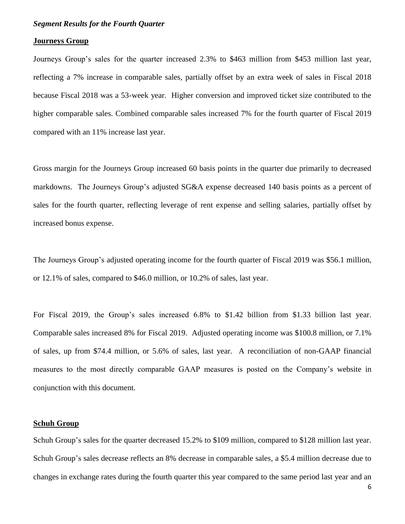#### *Segment Results for the Fourth Quarter*

#### **Journeys Group**

Journeys Group's sales for the quarter increased 2.3% to \$463 million from \$453 million last year, reflecting a 7% increase in comparable sales, partially offset by an extra week of sales in Fiscal 2018 because Fiscal 2018 was a 53-week year. Higher conversion and improved ticket size contributed to the higher comparable sales. Combined comparable sales increased 7% for the fourth quarter of Fiscal 2019 compared with an 11% increase last year.

Gross margin for the Journeys Group increased 60 basis points in the quarter due primarily to decreased markdowns. The Journeys Group's adjusted SG&A expense decreased 140 basis points as a percent of sales for the fourth quarter, reflecting leverage of rent expense and selling salaries, partially offset by increased bonus expense.

The Journeys Group's adjusted operating income for the fourth quarter of Fiscal 2019 was \$56.1 million, or 12.1% of sales, compared to \$46.0 million, or 10.2% of sales, last year.

For Fiscal 2019, the Group's sales increased 6.8% to \$1.42 billion from \$1.33 billion last year. Comparable sales increased 8% for Fiscal 2019. Adjusted operating income was \$100.8 million, or 7.1% of sales, up from \$74.4 million, or 5.6% of sales, last year. A reconciliation of non-GAAP financial measures to the most directly comparable GAAP measures is posted on the Company's website in conjunction with this document.

## **Schuh Group**

Schuh Group's sales for the quarter decreased 15.2% to \$109 million, compared to \$128 million last year. Schuh Group's sales decrease reflects an 8% decrease in comparable sales, a \$5.4 million decrease due to changes in exchange rates during the fourth quarter this year compared to the same period last year and an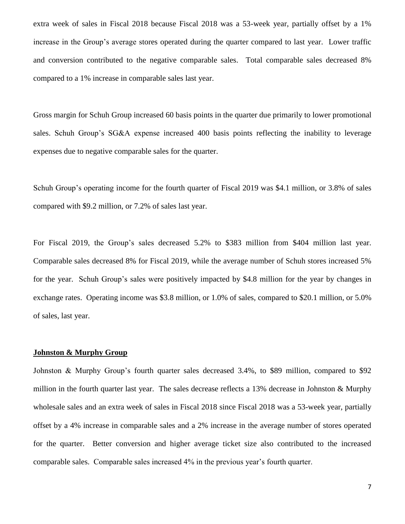extra week of sales in Fiscal 2018 because Fiscal 2018 was a 53-week year, partially offset by a 1% increase in the Group's average stores operated during the quarter compared to last year. Lower traffic and conversion contributed to the negative comparable sales. Total comparable sales decreased 8% compared to a 1% increase in comparable sales last year.

Gross margin for Schuh Group increased 60 basis points in the quarter due primarily to lower promotional sales. Schuh Group's SG&A expense increased 400 basis points reflecting the inability to leverage expenses due to negative comparable sales for the quarter.

Schuh Group's operating income for the fourth quarter of Fiscal 2019 was \$4.1 million, or 3.8% of sales compared with \$9.2 million, or 7.2% of sales last year.

For Fiscal 2019, the Group's sales decreased 5.2% to \$383 million from \$404 million last year. Comparable sales decreased 8% for Fiscal 2019, while the average number of Schuh stores increased 5% for the year. Schuh Group's sales were positively impacted by \$4.8 million for the year by changes in exchange rates. Operating income was \$3.8 million, or 1.0% of sales, compared to \$20.1 million, or 5.0% of sales, last year.

#### **Johnston & Murphy Group**

Johnston & Murphy Group's fourth quarter sales decreased 3.4%, to \$89 million, compared to \$92 million in the fourth quarter last year. The sales decrease reflects a 13% decrease in Johnston & Murphy wholesale sales and an extra week of sales in Fiscal 2018 since Fiscal 2018 was a 53-week year, partially offset by a 4% increase in comparable sales and a 2% increase in the average number of stores operated for the quarter. Better conversion and higher average ticket size also contributed to the increased comparable sales. Comparable sales increased 4% in the previous year's fourth quarter.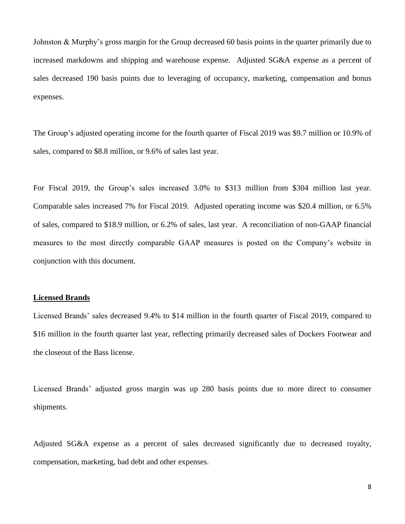Johnston & Murphy's gross margin for the Group decreased 60 basis points in the quarter primarily due to increased markdowns and shipping and warehouse expense. Adjusted SG&A expense as a percent of sales decreased 190 basis points due to leveraging of occupancy, marketing, compensation and bonus expenses.

The Group's adjusted operating income for the fourth quarter of Fiscal 2019 was \$9.7 million or 10.9% of sales, compared to \$8.8 million, or 9.6% of sales last year.

For Fiscal 2019, the Group's sales increased 3.0% to \$313 million from \$304 million last year. Comparable sales increased 7% for Fiscal 2019. Adjusted operating income was \$20.4 million, or 6.5% of sales, compared to \$18.9 million, or 6.2% of sales, last year. A reconciliation of non-GAAP financial measures to the most directly comparable GAAP measures is posted on the Company's website in conjunction with this document.

# **Licensed Brands**

Licensed Brands' sales decreased 9.4% to \$14 million in the fourth quarter of Fiscal 2019, compared to \$16 million in the fourth quarter last year, reflecting primarily decreased sales of Dockers Footwear and the closeout of the Bass license.

Licensed Brands' adjusted gross margin was up 280 basis points due to more direct to consumer shipments.

Adjusted SG&A expense as a percent of sales decreased significantly due to decreased royalty, compensation, marketing, bad debt and other expenses.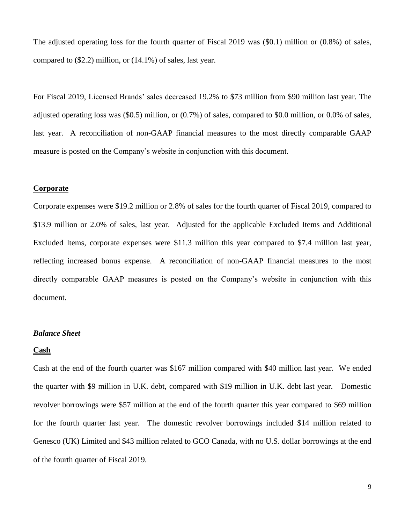The adjusted operating loss for the fourth quarter of Fiscal 2019 was (\$0.1) million or (0.8%) of sales, compared to (\$2.2) million, or (14.1%) of sales, last year.

For Fiscal 2019, Licensed Brands' sales decreased 19.2% to \$73 million from \$90 million last year. The adjusted operating loss was (\$0.5) million, or (0.7%) of sales, compared to \$0.0 million, or 0.0% of sales, last year. A reconciliation of non-GAAP financial measures to the most directly comparable GAAP measure is posted on the Company's website in conjunction with this document.

#### **Corporate**

Corporate expenses were \$19.2 million or 2.8% of sales for the fourth quarter of Fiscal 2019, compared to \$13.9 million or 2.0% of sales, last year. Adjusted for the applicable Excluded Items and Additional Excluded Items, corporate expenses were \$11.3 million this year compared to \$7.4 million last year, reflecting increased bonus expense. A reconciliation of non-GAAP financial measures to the most directly comparable GAAP measures is posted on the Company's website in conjunction with this document.

#### *Balance Sheet*

#### **Cash**

Cash at the end of the fourth quarter was \$167 million compared with \$40 million last year. We ended the quarter with \$9 million in U.K. debt, compared with \$19 million in U.K. debt last year. Domestic revolver borrowings were \$57 million at the end of the fourth quarter this year compared to \$69 million for the fourth quarter last year. The domestic revolver borrowings included \$14 million related to Genesco (UK) Limited and \$43 million related to GCO Canada, with no U.S. dollar borrowings at the end of the fourth quarter of Fiscal 2019.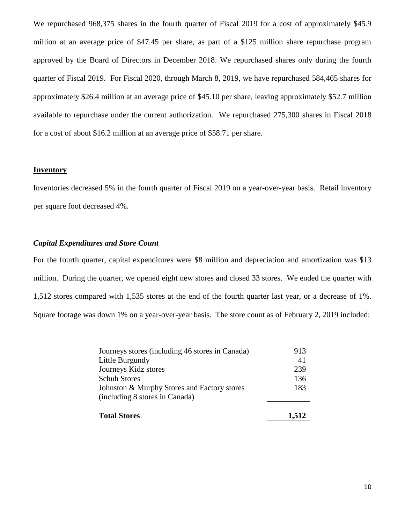We repurchased 968,375 shares in the fourth quarter of Fiscal 2019 for a cost of approximately \$45.9 million at an average price of \$47.45 per share, as part of a \$125 million share repurchase program approved by the Board of Directors in December 2018. We repurchased shares only during the fourth quarter of Fiscal 2019. For Fiscal 2020, through March 8, 2019, we have repurchased 584,465 shares for approximately \$26.4 million at an average price of \$45.10 per share, leaving approximately \$52.7 million available to repurchase under the current authorization. We repurchased 275,300 shares in Fiscal 2018 for a cost of about \$16.2 million at an average price of \$58.71 per share.

# **Inventory**

Inventories decreased 5% in the fourth quarter of Fiscal 2019 on a year-over-year basis. Retail inventory per square foot decreased 4%.

## *Capital Expenditures and Store Count*

For the fourth quarter, capital expenditures were \$8 million and depreciation and amortization was \$13 million. During the quarter, we opened eight new stores and closed 33 stores. We ended the quarter with 1,512 stores compared with 1,535 stores at the end of the fourth quarter last year, or a decrease of 1%. Square footage was down 1% on a year-over-year basis. The store count as of February 2, 2019 included:

| <b>Total Stores</b>                             | 1,512 |
|-------------------------------------------------|-------|
| (including 8 stores in Canada)                  |       |
| Johnston & Murphy Stores and Factory stores     | 183   |
| <b>Schuh Stores</b>                             | 136   |
| Journeys Kidz stores                            | 239   |
| Little Burgundy                                 | 41    |
| Journeys stores (including 46 stores in Canada) | 913   |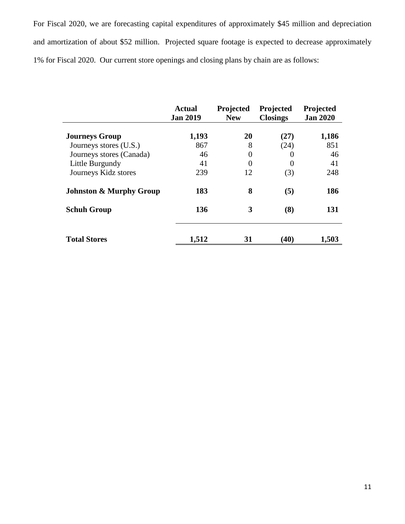For Fiscal 2020, we are forecasting capital expenditures of approximately \$45 million and depreciation and amortization of about \$52 million. Projected square footage is expected to decrease approximately 1% for Fiscal 2020. Our current store openings and closing plans by chain are as follows:

|                                    | <b>Actual</b><br><b>Jan 2019</b> | Projected<br><b>New</b> | Projected<br><b>Closings</b> | Projected<br><b>Jan 2020</b> |
|------------------------------------|----------------------------------|-------------------------|------------------------------|------------------------------|
| <b>Journeys Group</b>              | 1,193                            | 20                      | (27)                         | 1,186                        |
| Journeys stores (U.S.)             | 867                              | 8                       | (24)                         | 851                          |
| Journeys stores (Canada)           | 46                               | $\overline{0}$          |                              | 46                           |
| Little Burgundy                    | 41                               | $\overline{0}$          |                              | 41                           |
| Journeys Kidz stores               | 239                              | 12                      | (3)                          | 248                          |
| <b>Johnston &amp; Murphy Group</b> | 183                              | 8                       | (5)                          | 186                          |
| <b>Schuh Group</b>                 | 136                              | 3                       | (8)                          | 131                          |
| <b>Total Stores</b>                | 1,512                            | 31                      | (40)                         | 1,503                        |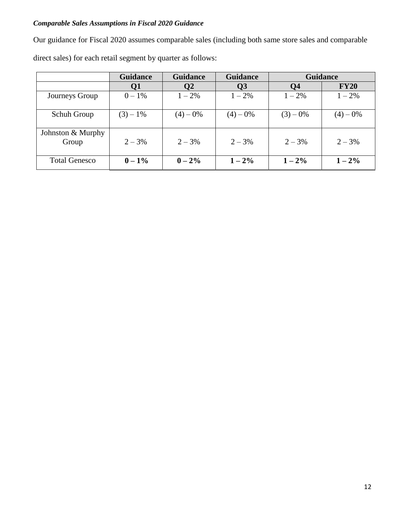# *Comparable Sales Assumptions in Fiscal 2020 Guidance*

Our guidance for Fiscal 2020 assumes comparable sales (including both same store sales and comparable direct sales) for each retail segment by quarter as follows:

|                            | <b>Guidance</b> | <b>Guidance</b> | <b>Guidance</b> | <b>Guidance</b> |             |
|----------------------------|-----------------|-----------------|-----------------|-----------------|-------------|
|                            | Q <sub>1</sub>  | Q2              | Q <sub>3</sub>  | Q <sub>4</sub>  | <b>FY20</b> |
| Journeys Group             | $0 - 1\%$       | $1 - 2\%$       | $1 - 2\%$       | $1 - 2\%$       | $1 - 2\%$   |
| Schuh Group                | $(3) - 1\%$     | $(4)-0%$        | $(4) - 0\%$     | $(3)-0%$        | $(4)-0%$    |
| Johnston & Murphy<br>Group | $2 - 3%$        | $2 - 3\%$       | $2 - 3\%$       | $2 - 3\%$       | $2 - 3%$    |
| <b>Total Genesco</b>       | $0 - 1\%$       | $0 - 2\%$       | $1 - 2\%$       | $1 - 2\%$       | $1 - 2\%$   |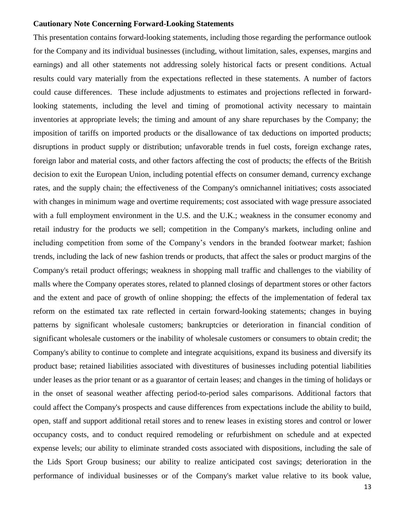# **Cautionary Note Concerning Forward-Looking Statements**

This presentation contains forward-looking statements, including those regarding the performance outlook for the Company and its individual businesses (including, without limitation, sales, expenses, margins and earnings) and all other statements not addressing solely historical facts or present conditions. Actual results could vary materially from the expectations reflected in these statements. A number of factors could cause differences. These include adjustments to estimates and projections reflected in forwardlooking statements, including the level and timing of promotional activity necessary to maintain inventories at appropriate levels; the timing and amount of any share repurchases by the Company; the imposition of tariffs on imported products or the disallowance of tax deductions on imported products; disruptions in product supply or distribution; unfavorable trends in fuel costs, foreign exchange rates, foreign labor and material costs, and other factors affecting the cost of products; the effects of the British decision to exit the European Union, including potential effects on consumer demand, currency exchange rates, and the supply chain; the effectiveness of the Company's omnichannel initiatives; costs associated with changes in minimum wage and overtime requirements; cost associated with wage pressure associated with a full employment environment in the U.S. and the U.K.; weakness in the consumer economy and retail industry for the products we sell; competition in the Company's markets, including online and including competition from some of the Company's vendors in the branded footwear market; fashion trends, including the lack of new fashion trends or products, that affect the sales or product margins of the Company's retail product offerings; weakness in shopping mall traffic and challenges to the viability of malls where the Company operates stores, related to planned closings of department stores or other factors and the extent and pace of growth of online shopping; the effects of the implementation of federal tax reform on the estimated tax rate reflected in certain forward-looking statements; changes in buying patterns by significant wholesale customers; bankruptcies or deterioration in financial condition of significant wholesale customers or the inability of wholesale customers or consumers to obtain credit; the Company's ability to continue to complete and integrate acquisitions, expand its business and diversify its product base; retained liabilities associated with divestitures of businesses including potential liabilities under leases as the prior tenant or as a guarantor of certain leases; and changes in the timing of holidays or in the onset of seasonal weather affecting period-to-period sales comparisons. Additional factors that could affect the Company's prospects and cause differences from expectations include the ability to build, open, staff and support additional retail stores and to renew leases in existing stores and control or lower occupancy costs, and to conduct required remodeling or refurbishment on schedule and at expected expense levels; our ability to eliminate stranded costs associated with dispositions, including the sale of the Lids Sport Group business; our ability to realize anticipated cost savings; deterioration in the performance of individual businesses or of the Company's market value relative to its book value,